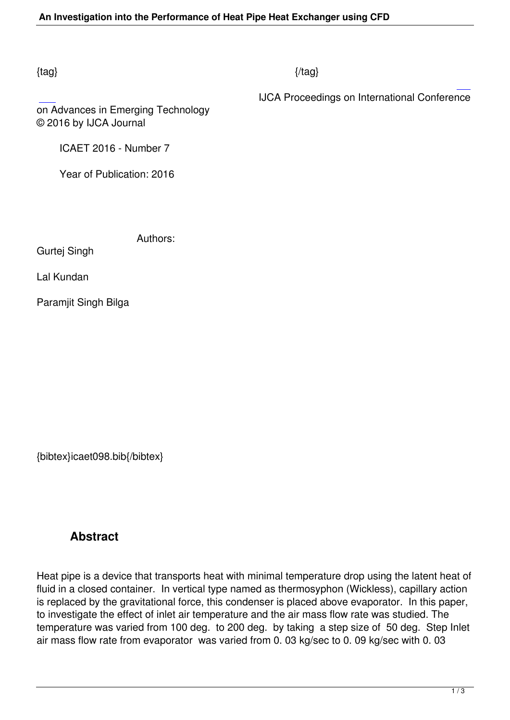## $\{tag\}$

IJCA Proceedings on International Conference

on Advances in Emerging Technology © 2016 by IJCA Journal

ICAET 2016 - Number 7

Year of Publication: 2016

Authors:

Gurtej Singh

Lal Kundan

Paramjit Singh Bilga

{bibtex}icaet098.bib{/bibtex}

## **Abstract**

Heat pipe is a device that transports heat with minimal temperature drop using the latent heat of fluid in a closed container. In vertical type named as thermosyphon (Wickless), capillary action is replaced by the gravitational force, this condenser is placed above evaporator. In this paper, to investigate the effect of inlet air temperature and the air mass flow rate was studied. The temperature was varied from 100 deg. to 200 deg. by taking a step size of 50 deg. Step Inlet air mass flow rate from evaporator was varied from 0. 03 kg/sec to 0. 09 kg/sec with 0. 03